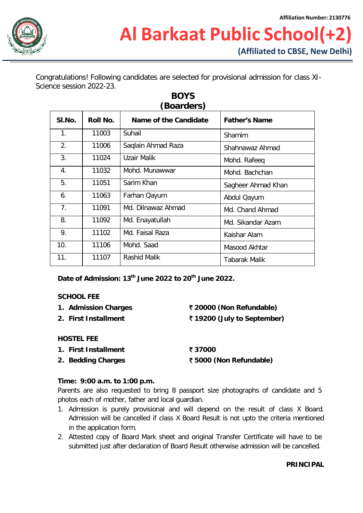

Congratulations! Following candidates are selected for provisional admission for class XI-Science session 2022-23.

| (Boarders) |          |                       |                      |  |  |  |
|------------|----------|-----------------------|----------------------|--|--|--|
| SI.No.     | Roll No. | Name of the Candidate | <b>Father's Name</b> |  |  |  |
| 1.         | 11003    | Suhail                | Shamim               |  |  |  |
| 2.         | 11006    | Saqlain Ahmad Raza    | Shahnawaz Ahmad      |  |  |  |
| 3.         | 11024    | Uzair Malik           | Mohd. Rafeeg         |  |  |  |
| 4.         | 11032    | Mohd. Munawwar        | Mohd. Bachchan       |  |  |  |
| 5.         | 11051    | Sarim Khan            | Sagheer Ahmad Khan   |  |  |  |
| 6.         | 11063    | Farhan Qayum          | Abdul Qayum          |  |  |  |
| 7.         | 11091    | Md. Dilnawaz Ahmad    | Md. Chand Ahmad      |  |  |  |
| 8.         | 11092    | Md. Enayatullah       | Md. Sikandar Azam    |  |  |  |
| 9.         | 11102    | Md. Faisal Raza       | Kaishar Alam         |  |  |  |
| 10.        | 11106    | Mohd. Saad            | Masood Akhtar        |  |  |  |
| 11.        | 11107    | Rashid Malik          | Tabarak Malik        |  |  |  |

**BOYS**

**Date of Admission: 13th June 2022 to 20th June 2022.**

#### **SCHOOL FEE**

- **1. Admission Charges** ` **20000 (Non Refundable)**
- **2. First Installment** ` **19200 (July to September)**
- 

- **HOSTEL FEE**
- **1. First Installment** ` **37000**
- **2. Bedding Charges** ` **5000 (Non Refundable)**

## **Time: 9:00 a.m. to 1:00 p.m.**

Parents are also requested to bring 8 passport size photographs of candidate and 5 photos each of mother, father and local guardian.

- 1. Admission is purely provisional and will depend on the result of class X Board. Admission will be cancelled if class X Board Result is not upto the criteria mentioned in the application form.
- 2. Attested copy of Board Mark sheet and original Transfer Certificate will have to be submitted just after declaration of Board Result otherwise admission will be cancelled.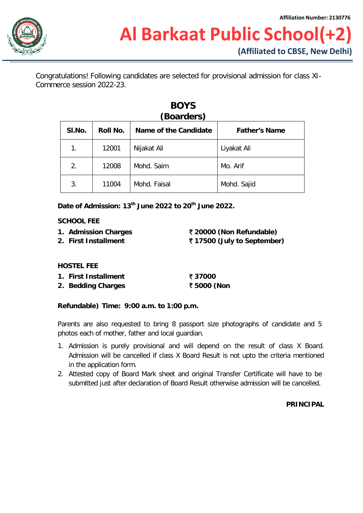Congratulations! Following candidates are selected for provisional admission for class XI-Commerce session 2022-23.

| SI.No. | Roll No. | Name of the Candidate | <b>Father's Name</b> |
|--------|----------|-----------------------|----------------------|
| 1.     | 12001    | Nijakat Ali           | Liyakat Ali          |
| 2.     | 12008    | Mohd. Saim            | Mo. Arif             |
| 3.     | 11004    | Mohd. Faisal          | Mohd. Sajid          |

# **BOYS**

**Date of Admission: 13th June 2022 to 20th June 2022.**

## **SCHOOL FEE**

- **1. Admission Charges** ` **20000 (Non Refundable)**
- 

**2. First Installment** ` **17500 (July to September)**

# **HOSTEL FEE**

- **1. First Installment** ` **37000**
- **2. Bedding Charges** ` **5000 (Non**

# **Refundable) Time: 9:00 a.m. to 1:00 p.m.**

Parents are also requested to bring 8 passport size photographs of candidate and 5 photos each of mother, father and local guardian.

- 1. Admission is purely provisional and will depend on the result of class X Board. Admission will be cancelled if class X Board Result is not upto the criteria mentioned in the application form.
- 2. Attested copy of Board Mark sheet and original Transfer Certificate will have to be submitted just after declaration of Board Result otherwise admission will be cancelled.

## **PRINCIPAL**